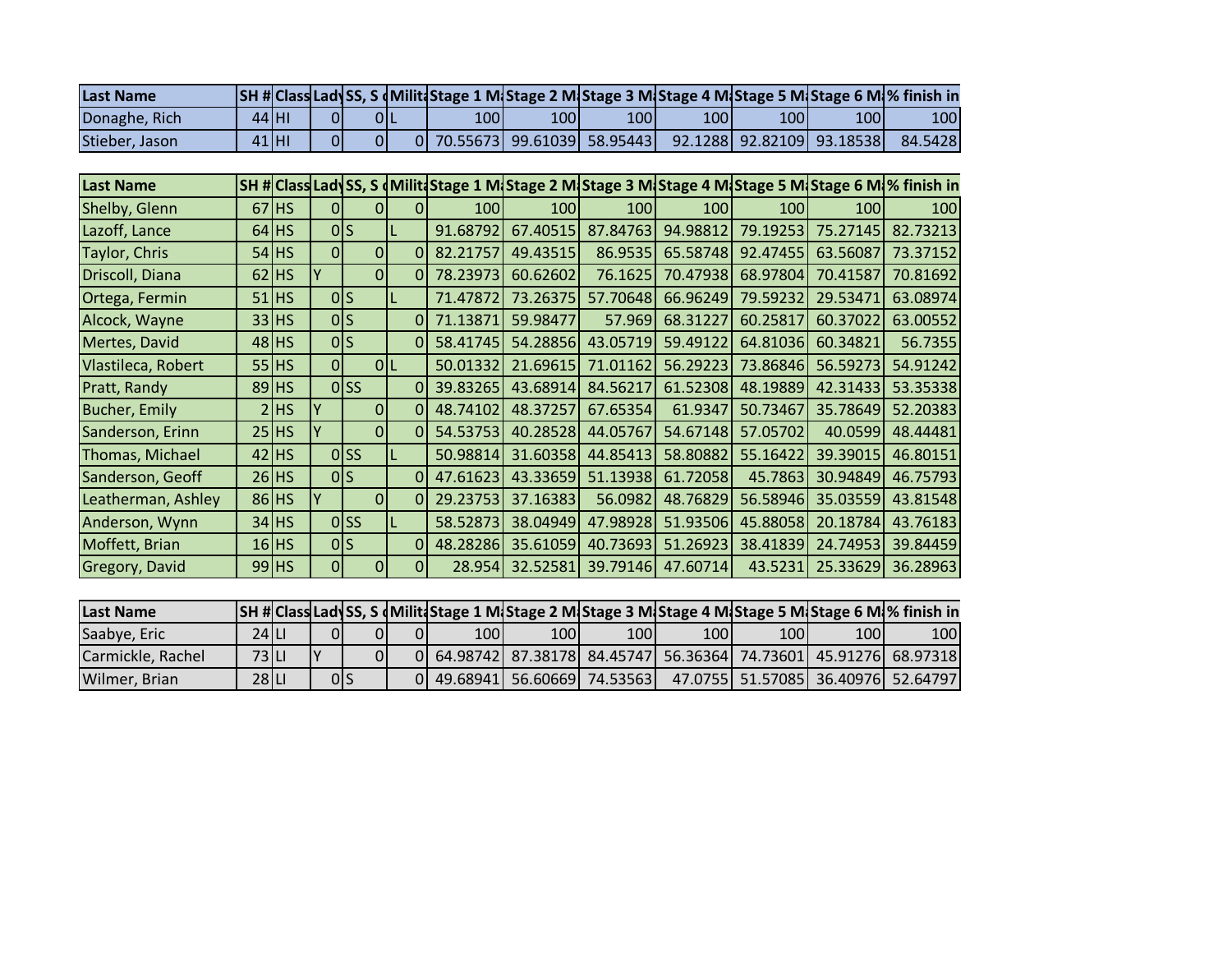| Last Name      |      |                |     |                |       |            |                            |     |     | SH # Class Lady SS, S d Milit Stage 1 M Stage 2 M Stage 3 M Stage 4 M Stage 5 M Stage 6 M % finish in |         |
|----------------|------|----------------|-----|----------------|-------|------------|----------------------------|-----|-----|-------------------------------------------------------------------------------------------------------|---------|
| Donaghe, Rich  | 44 H | $\overline{0}$ | OIL |                | 100 l | <b>100</b> | 100                        | 100 | 100 | 100                                                                                                   | 100     |
| Stieber, Jason | 41 H | $\Omega$       |     | $\overline{0}$ |       |            | 70.55673 99.61039 58.95443 |     |     | 92.1288 92.82109 93.18538                                                                             | 84.5428 |

| <b>Last Name</b>   |           |                |                   |          |          |          |          |          |          |          | SH # Class Lady SS, S (Milit Stage 1 M/Stage 2 M/Stage 3 M/Stage 4 M/Stage 5 M/Stage 6 M/% finish in |
|--------------------|-----------|----------------|-------------------|----------|----------|----------|----------|----------|----------|----------|------------------------------------------------------------------------------------------------------|
| Shelby, Glenn      | $67$ $HS$ | $\overline{0}$ | $\Omega$          | $\Omega$ | 100      | 100      | 100      | 100      | 100      | 100l     | 100                                                                                                  |
| Lazoff, Lance      | $64$ HS   |                | 0 S               |          | 91.68792 | 67.40515 | 87.84763 | 94.98812 | 79.19253 | 75.27145 | 82.73213                                                                                             |
| Taylor, Chris      | $54$ HS   | <sup>0</sup>   | $\Omega$          | 0        | 82.21757 | 49.43515 | 86.9535  | 65.58748 | 92.47455 | 63.56087 | 73.37152                                                                                             |
| Driscoll, Diana    | $62$ HS   | Y              | 0                 | $\Omega$ | 78.23973 | 60.62602 | 76.1625  | 70.47938 | 68.97804 | 70.41587 | 70.81692                                                                                             |
| Ortega, Fermin     | $51$ HS   |                | 0 S               |          | 71.47872 | 73.26375 | 57.70648 | 66.96249 | 79.59232 | 29.53471 | 63.08974                                                                                             |
| Alcock, Wayne      | $33$ HS   |                | 0 S               | $\Omega$ | 71.13871 | 59.98477 | 57.969   | 68.31227 | 60.25817 | 60.37022 | 63.00552                                                                                             |
| Mertes, David      | $48$ $HS$ |                | 0 S               |          | 58.41745 | 54.28856 | 43.05719 | 59.49122 | 64.81036 | 60.34821 | 56.7355                                                                                              |
| Vlastileca, Robert | $55$ HS   | $\Omega$       |                   | 0 L      | 50.01332 | 21.69615 | 71.01162 | 56.29223 | 73.86846 | 56.59273 | 54.91242                                                                                             |
| Pratt, Randy       | $89$ HS   |                | $0$ <sub>SS</sub> |          | 39.83265 | 43.68914 | 84.56217 | 61.52308 | 48.19889 | 42.31433 | 53.35338                                                                                             |
| Bucher, Emily      | $2$ $HS$  | Y              | $\Omega$          |          | 48.74102 | 48.37257 | 67.65354 | 61.9347  | 50.73467 | 35.78649 | 52.20383                                                                                             |
| Sanderson, Erinn   | $25$ HS   |                | $\Omega$          |          | 54.53753 | 40.28528 | 44.05767 | 54.67148 | 57.05702 | 40.0599  | 48.44481                                                                                             |
| Thomas, Michael    | $42$ HS   |                | $0$ <sub>SS</sub> |          | 50.98814 | 31.60358 | 44.85413 | 58.80882 | 55.16422 | 39.39015 | 46.80151                                                                                             |
| Sanderson, Geoff   | $26$ HS   |                | 0 S               | $\Omega$ | 47.61623 | 43.33659 | 51.13938 | 61.72058 | 45.7863  | 30.94849 | 46.75793                                                                                             |
| Leatherman, Ashley | $86$ HS   |                | $\Omega$          |          | 29.23753 | 37.16383 | 56.0982  | 48.76829 | 56.58946 | 35.03559 | 43.81548                                                                                             |
| Anderson, Wynn     | $34$ HS   |                | $0$ <sub>SS</sub> |          | 58.52873 | 38.04949 | 47.98928 | 51.93506 | 45.88058 | 20.18784 | 43.76183                                                                                             |
| Moffett, Brian     | $16$ HS   |                | 0 S               | 0        | 48.28286 | 35.61059 | 40.73693 | 51.26923 | 38.41839 | 24.74953 | 39.84459                                                                                             |
| Gregory, David     | $99$ HS   | $\overline{0}$ | $\Omega$          | $\Omega$ | 28.954   | 32.52581 | 39.79146 | 47.60714 | 43.5231  | 25.33629 | 36.28963                                                                                             |

| <b>Last Name</b>  |        |              |    |     |     |                  |     |     |                  | SH # Class Lady SS, S (Milit Stage 1 M Stage 2 M Stage 3 M Stage 4 M Stage 5 M Stage 6 M % finish in |
|-------------------|--------|--------------|----|-----|-----|------------------|-----|-----|------------------|------------------------------------------------------------------------------------------------------|
| Saabye, Eric      | 24 LI  |              |    | 100 | 100 | 100 <sup> </sup> | 100 | 100 | 100 <sup>1</sup> | 100                                                                                                  |
| Carmickle, Rachel | 73 LI  | $\mathbf{v}$ |    |     |     |                  |     |     |                  | 0 64.98742 87.38178 84.45747 56.36364 74.73601 45.91276 68.97318                                     |
| Wilmer, Brian     | $28$ U |              | 0S |     |     |                  |     |     |                  | 0 49.68941 56.60669 74.53563 47.0755 51.57085 36.40976 52.64797                                      |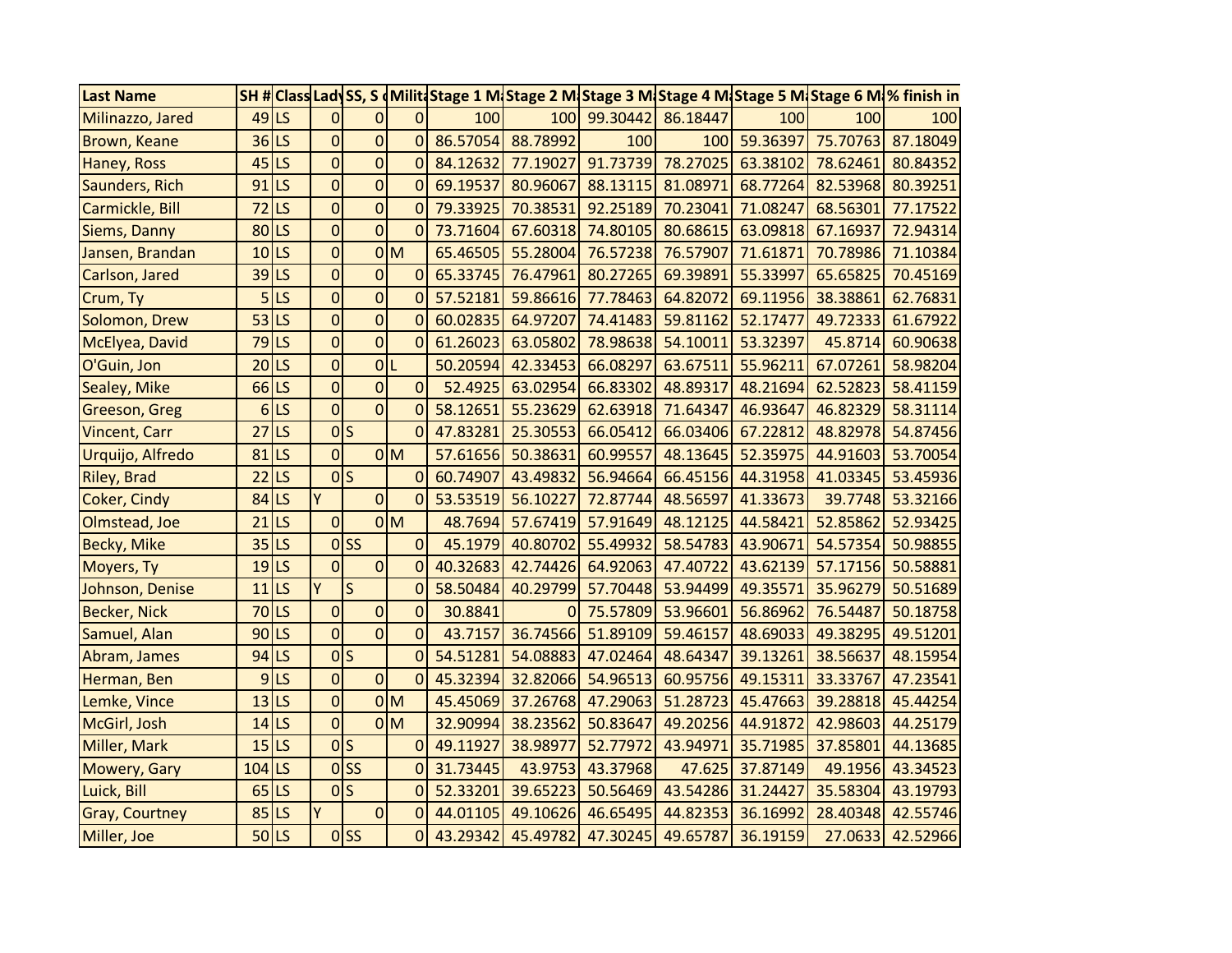| <b>Last Name</b>      |                     |                    |                |                         |                |          |                   |                       | SH # Class Lady SS, S < Milit Stage 1 M Stage 2 M Stage 3 M Stage 4 M Stage 5 M Stage 6 M % finish in |          |          |          |
|-----------------------|---------------------|--------------------|----------------|-------------------------|----------------|----------|-------------------|-----------------------|-------------------------------------------------------------------------------------------------------|----------|----------|----------|
| Milinazzo, Jared      | $49$ <sub>LS</sub>  |                    | 0              | $\mathbf 0$             | $\Omega$       | 100      |                   | 100 99.30442 86.18447 |                                                                                                       | 100      | 100      | 100      |
| Brown, Keane          |                     | $36$ <sup>LS</sup> | $\mathbf 0$    | $\overline{0}$          | $\Omega$       |          | 86.57054 88.78992 | 100                   | 100                                                                                                   | 59.36397 | 75.70763 | 87.18049 |
| Haney, Ross           | $45$ <sub>LS</sub>  |                    | $\overline{0}$ | $\overline{0}$          | $\mathbf 0$    | 84.12632 | 77.19027          | 91.73739              | 78.27025                                                                                              | 63.38102 | 78.62461 | 80.84352 |
| Saunders, Rich        | $91$ LS             |                    | $\overline{0}$ | $\overline{0}$          | $\Omega$       | 69.19537 | 80.96067          | 88.13115              | 81.08971                                                                                              | 68.77264 | 82.53968 | 80.39251 |
| Carmickle, Bill       | 72                  | <b>LS</b>          | $\mathbf 0$    | $\overline{0}$          | $\mathbf 0$    | 79.33925 | 70.38531          | 92.25189              | 70.23041                                                                                              | 71.08247 | 68.56301 | 77.17522 |
| Siems, Danny          | $80$ <sub>LS</sub>  |                    | $\mathbf 0$    | $\overline{0}$          | $\mathbf 0$    | 73.71604 | 67.60318          | 74.80105              | 80.68615                                                                                              | 63.09818 | 67.16937 | 72.94314 |
| Jansen, Brandan       | $10$ <sub>LS</sub>  |                    | $\overline{0}$ |                         | 0 <sub>M</sub> | 65.46505 | 55.28004          | 76.57238              | 76.57907                                                                                              | 71.61871 | 70.78986 | 71.10384 |
| Carlson, Jared        |                     | $39$ <sub>LS</sub> | $\overline{0}$ | $\overline{0}$          | $\pmb{0}$      |          | 65.33745 76.47961 | 80.27265              | 69.39891                                                                                              | 55.33997 | 65.65825 | 70.45169 |
| Crum, Ty              |                     | 5 LS               | $\overline{0}$ | $\overline{0}$          | $\mathbf 0$    | 57.52181 | 59.86616          | 77.78463              | 64.82072                                                                                              | 69.11956 | 38.38861 | 62.76831 |
| Solomon, Drew         |                     | $53$ LS            | $\mathbf 0$    | $\overline{0}$          | $\overline{0}$ | 60.02835 | 64.97207          | 74.41483              | 59.81162                                                                                              | 52.17477 | 49.72333 | 61.67922 |
| McElyea, David        | $79$ <sub>LS</sub>  |                    | $\mathbf 0$    | $\mathbf 0$             | $\Omega$       | 61.26023 | 63.05802          | 78.98638              | 54.10011                                                                                              | 53.32397 | 45.8714  | 60.90638 |
| O'Guin, Jon           |                     | $20$ <sub>LS</sub> | $\overline{0}$ | 0L                      |                | 50.20594 | 42.33453          | 66.08297              | 63.67511                                                                                              | 55.96211 | 67.07261 | 58.98204 |
| Sealey, Mike          |                     | $66$ <sup>LS</sup> | $\overline{0}$ | $\overline{0}$          | $\mathbf 0$    | 52.4925  | 63.02954          | 66.83302              | 48.89317                                                                                              | 48.21694 | 62.52823 | 58.41159 |
| Greeson, Greg         |                     | 6 LS               | $\overline{0}$ | $\overline{0}$          | $\mathbf 0$    | 58.12651 | 55.23629          | 62.63918              | 71.64347                                                                                              | 46.93647 | 46.82329 | 58.31114 |
| <b>Vincent, Carr</b>  | 27                  | <b>LS</b>          |                | $0\vert S$              | $\Omega$       | 47.83281 | 25.30553          | 66.05412              | 66.03406                                                                                              | 67.22812 | 48.82978 | 54.87456 |
| Urquijo, Alfredo      | 81                  | <b>LS</b>          | $\mathbf 0$    |                         | 0 <sub>M</sub> | 57.61656 | 50.38631          | 60.99557              | 48.13645                                                                                              | 52.35975 | 44.91603 | 53.70054 |
| <b>Riley, Brad</b>    | 22                  | <b>LS</b>          |                | 0 <sub>s</sub>          | $\mathbf 0$    | 60.74907 | 43.49832          | 56.94664              | 66.45156                                                                                              | 44.31958 | 41.03345 | 53.45936 |
| <b>Coker, Cindy</b>   | $84$ <sub>LS</sub>  |                    | Y              | $\overline{0}$          | $\mathbf 0$    | 53.53519 | 56.10227          | 72.87744              | 48.56597                                                                                              | 41.33673 | 39.7748  | 53.32166 |
| Olmstead, Joe         | $21$ <sub>LS</sub>  |                    | $\mathbf 0$    |                         | 0 <sub>M</sub> | 48.7694  | 57.67419          | 57.91649              | 48.12125                                                                                              | 44.58421 | 52.85862 | 52.93425 |
| <b>Becky, Mike</b>    |                     | $35$ LS            |                | $0$ <sub>SS</sub>       | $\overline{0}$ | 45.1979  | 40.80702          | 55.49932              | 58.54783                                                                                              | 43.90671 | 54.57354 | 50.98855 |
| Moyers, Ty            | $19$ <sub>LS</sub>  |                    | $\Omega$       | $\mathbf 0$             | $\Omega$       | 40.32683 | 42.74426          | 64.92063              | 47.40722                                                                                              | 43.62139 | 57.17156 | 50.58881 |
| Johnson, Denise       | $11$ <sub>LS</sub>  |                    | Y              | $\overline{\mathsf{S}}$ | $\mathbf 0$    | 58.50484 | 40.29799          | 57.70448              | 53.94499                                                                                              | 49.35571 | 35.96279 | 50.51689 |
| <b>Becker, Nick</b>   | $70$ <sub>LS</sub>  |                    | $\mathbf 0$    | $\mathbf 0$             | $\mathbf 0$    | 30.8841  | 0I                | 75.57809              | 53.96601                                                                                              | 56.86962 | 76.54487 | 50.18758 |
| Samuel, Alan          | $90$ <sup>LS</sup>  |                    | $\overline{0}$ | $\overline{0}$          | $\mathbf 0$    | 43.7157  | 36.74566          | 51.89109              | 59.46157                                                                                              | 48.69033 | 49.38295 | 49.51201 |
| Abram, James          | $94$ LS             |                    |                | $0\vert S$              | $\Omega$       | 54.51281 | 54.08883          | 47.02464              | 48.64347                                                                                              | 39.13261 | 38.56637 | 48.15954 |
| Herman, Ben           | 9                   | <b>LS</b>          | 0              | $\mathbf 0$             | $\mathbf 0$    | 45.32394 | 32.82066          | 54.96513              | 60.95756                                                                                              | 49.15311 | 33.33767 | 47.23541 |
| Lemke, Vince          | $13$ LS             |                    | $\overline{0}$ |                         | 0 <sub>M</sub> | 45.45069 | 37.26768          | 47.29063              | 51.28723                                                                                              | 45.47663 | 39.28818 | 45.44254 |
| McGirl, Josh          | $14$ <sub>LS</sub>  |                    | $\overline{0}$ |                         | 0 <sub>M</sub> | 32.90994 | 38.23562          | 50.83647              | 49.20256                                                                                              | 44.91872 | 42.98603 | 44.25179 |
| Miller, Mark          | $15$ LS             |                    |                | 0 S                     | $\Omega$       | 49.11927 | 38.98977          | 52.77972              | 43.94971                                                                                              | 35.71985 | 37.85801 | 44.13685 |
| Mowery, Gary          | $104$ <sub>LS</sub> |                    |                | $0$ <sub>SS</sub>       | $\mathbf 0$    | 31.73445 | 43.9753           | 43.37968              | 47.625                                                                                                | 37.87149 | 49.1956  | 43.34523 |
| Luick, Bill           | 65                  | <b>LS</b>          |                | $0\vert S$              | $\Omega$       | 52.33201 | 39.65223          | 50.56469              | 43.54286                                                                                              | 31.24427 | 35.58304 | 43.19793 |
| <b>Gray, Courtney</b> | $85$ <sub>LS</sub>  |                    | Ÿ              | $\overline{0}$          | 0              | 44.01105 | 49.10626          | 46.65495              | 44.82353                                                                                              | 36.16992 | 28.40348 | 42.55746 |
| Miller, Joe           |                     | $50$ <sup>LS</sup> |                | $0$ <sub>SS</sub>       | $\overline{0}$ | 43.29342 | 45.49782          |                       | 47.30245 49.65787                                                                                     | 36.19159 | 27.0633  | 42.52966 |